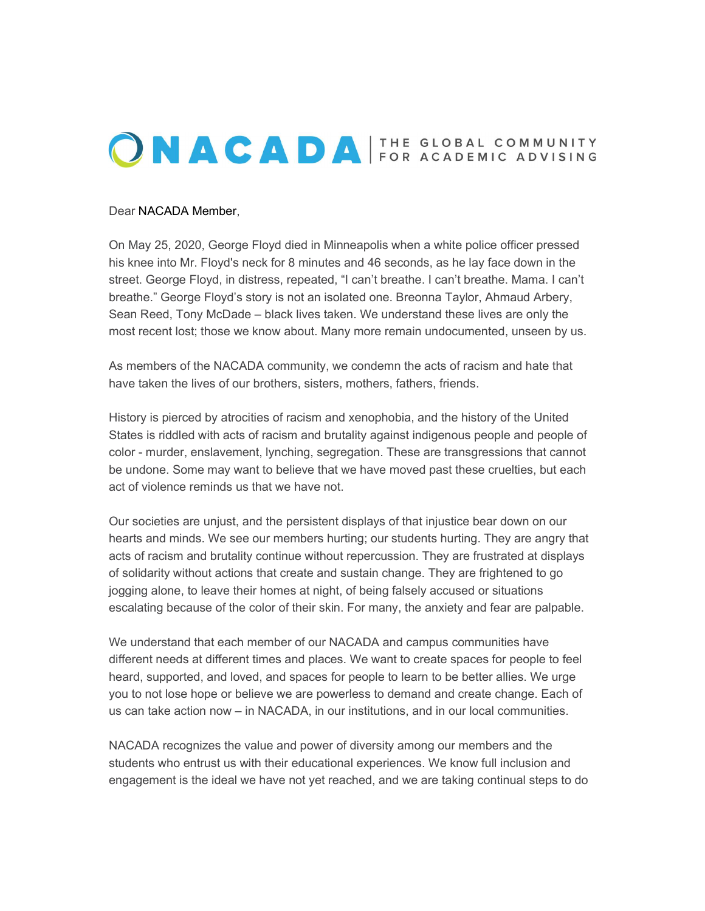## ONACADA FOR ACADEMIC ADVISING

## Dear NACADA Member,

On May 25, 2020, George Floyd died in Minneapolis when a white police officer pressed his knee into Mr. Floyd's neck for 8 minutes and 46 seconds, as he lay face down in the street. George Floyd, in distress, repeated, "I can't breathe. I can't breathe. Mama. I can't breathe." George Floyd's story is not an isolated one. Breonna Taylor, Ahmaud Arbery, Sean Reed, Tony McDade – black lives taken. We understand these lives are only the most recent lost; those we know about. Many more remain undocumented, unseen by us.

As members of the NACADA community, we condemn the acts of racism and hate that have taken the lives of our brothers, sisters, mothers, fathers, friends.

History is pierced by atrocities of racism and xenophobia, and the history of the United States is riddled with acts of racism and brutality against indigenous people and people of color - murder, enslavement, lynching, segregation. These are transgressions that cannot be undone. Some may want to believe that we have moved past these cruelties, but each act of violence reminds us that we have not.

Our societies are unjust, and the persistent displays of that injustice bear down on our hearts and minds. We see our members hurting; our students hurting. They are angry that acts of racism and brutality continue without repercussion. They are frustrated at displays of solidarity without actions that create and sustain change. They are frightened to go jogging alone, to leave their homes at night, of being falsely accused or situations escalating because of the color of their skin. For many, the anxiety and fear are palpable.

We understand that each member of our NACADA and campus communities have different needs at different times and places. We want to create spaces for people to feel heard, supported, and loved, and spaces for people to learn to be better allies. We urge you to not lose hope or believe we are powerless to demand and create change. Each of us can take action now – in NACADA, in our institutions, and in our local communities.

NACADA recognizes the value and power of diversity among our members and the students who entrust us with their educational experiences. We know full inclusion and engagement is the ideal we have not yet reached, and we are taking continual steps to do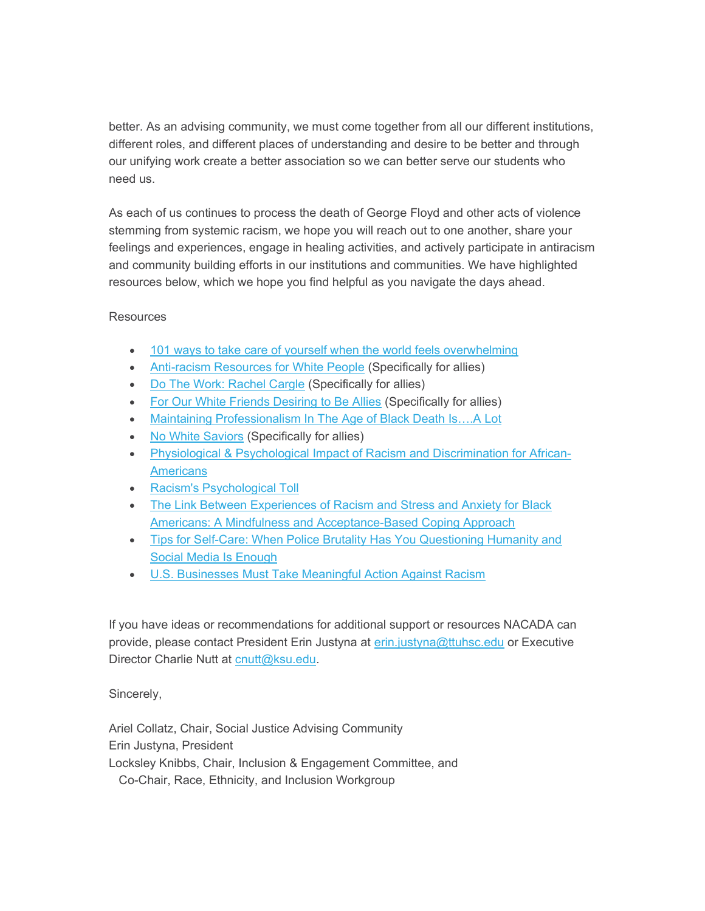better. As an advising community, we must come together from all our different institutions, different roles, and different places of understanding and desire to be better and through our unifying work create a better association so we can better serve our students who need us.

As each of us continues to process the death of George Floyd and other acts of violence stemming from systemic racism, we hope you will reach out to one another, share your feelings and experiences, engage in healing activities, and actively participate in antiracism and community building efforts in our institutions and communities. We have highlighted resources below, which we hope you find helpful as you navigate the days ahead.

## **Resources**

- 101 ways to take care of yourself when the world feels overwhelming
- Anti-racism Resources for White People (Specifically for allies)
- Do The Work: Rachel Cargle (Specifically for allies)
- For Our White Friends Desiring to Be Allies (Specifically for allies)
- Maintaining Professionalism In The Age of Black Death Is….A Lot
- No White Saviors (Specifically for allies)
- Physiological & Psychological Impact of Racism and Discrimination for African-**Americans**
- Racism's Psychological Toll
- The Link Between Experiences of Racism and Stress and Anxiety for Black Americans: A Mindfulness and Acceptance-Based Coping Approach
- Tips for Self-Care: When Police Brutality Has You Questioning Humanity and Social Media Is Enough
- U.S. Businesses Must Take Meaningful Action Against Racism

If you have ideas or recommendations for additional support or resources NACADA can provide, please contact President Erin Justyna at erin.justyna@ttuhsc.edu or Executive Director Charlie Nutt at cnutt@ksu.edu.

Sincerely,

Ariel Collatz, Chair, Social Justice Advising Community Erin Justyna, President Locksley Knibbs, Chair, Inclusion & Engagement Committee, and Co-Chair, Race, Ethnicity, and Inclusion Workgroup